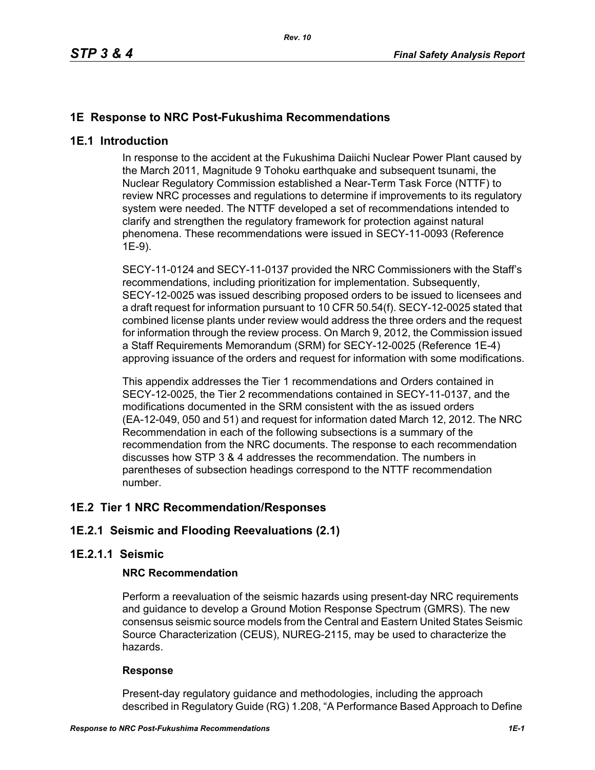# **1E Response to NRC Post-Fukushima Recommendations**

### **1E.1 Introduction**

In response to the accident at the Fukushima Daiichi Nuclear Power Plant caused by the March 2011, Magnitude 9 Tohoku earthquake and subsequent tsunami, the Nuclear Regulatory Commission established a Near-Term Task Force (NTTF) to review NRC processes and regulations to determine if improvements to its regulatory system were needed. The NTTF developed a set of recommendations intended to clarify and strengthen the regulatory framework for protection against natural phenomena. These recommendations were issued in SECY-11-0093 (Reference 1E-9).

SECY-11-0124 and SECY-11-0137 provided the NRC Commissioners with the Staff's recommendations, including prioritization for implementation. Subsequently, SECY-12-0025 was issued describing proposed orders to be issued to licensees and a draft request for information pursuant to 10 CFR 50.54(f). SECY-12-0025 stated that combined license plants under review would address the three orders and the request for information through the review process. On March 9, 2012, the Commission issued a Staff Requirements Memorandum (SRM) for SECY-12-0025 (Reference 1E-4) approving issuance of the orders and request for information with some modifications.

This appendix addresses the Tier 1 recommendations and Orders contained in SECY-12-0025, the Tier 2 recommendations contained in SECY-11-0137, and the modifications documented in the SRM consistent with the as issued orders (EA-12-049, 050 and 51) and request for information dated March 12, 2012. The NRC Recommendation in each of the following subsections is a summary of the recommendation from the NRC documents. The response to each recommendation discusses how STP 3 & 4 addresses the recommendation. The numbers in parentheses of subsection headings correspond to the NTTF recommendation number.

# **1E.2 Tier 1 NRC Recommendation/Responses**

# **1E.2.1 Seismic and Flooding Reevaluations (2.1)**

### **1E.2.1.1 Seismic**

### **NRC Recommendation**

Perform a reevaluation of the seismic hazards using present-day NRC requirements and guidance to develop a Ground Motion Response Spectrum (GMRS). The new consensus seismic source models from the Central and Eastern United States Seismic Source Characterization (CEUS), NUREG-2115, may be used to characterize the hazards.

### **Response**

Present-day regulatory guidance and methodologies, including the approach described in Regulatory Guide (RG) 1.208, "A Performance Based Approach to Define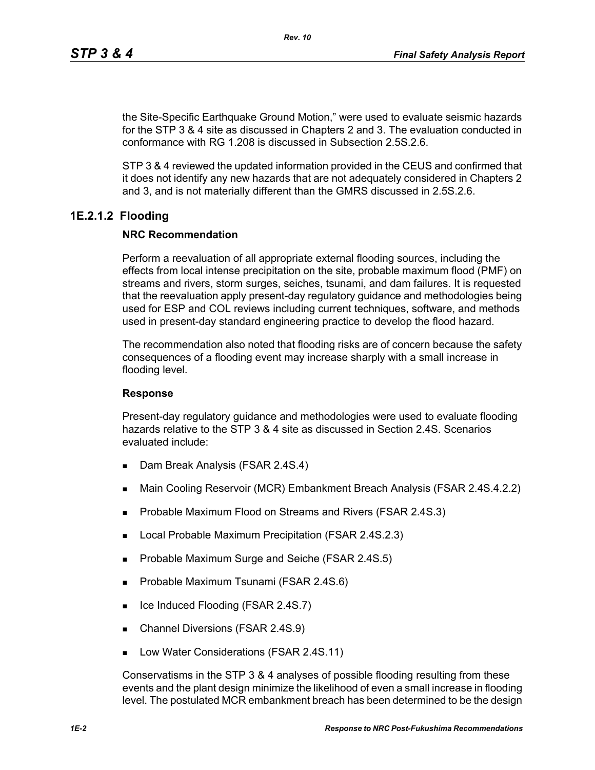the Site-Specific Earthquake Ground Motion," were used to evaluate seismic hazards for the STP 3 & 4 site as discussed in Chapters 2 and 3. The evaluation conducted in conformance with RG 1.208 is discussed in Subsection 2.5S.2.6.

STP 3 & 4 reviewed the updated information provided in the CEUS and confirmed that it does not identify any new hazards that are not adequately considered in Chapters 2 and 3, and is not materially different than the GMRS discussed in 2.5S.2.6.

# **1E.2.1.2 Flooding**

# **NRC Recommendation**

Perform a reevaluation of all appropriate external flooding sources, including the effects from local intense precipitation on the site, probable maximum flood (PMF) on streams and rivers, storm surges, seiches, tsunami, and dam failures. It is requested that the reevaluation apply present-day regulatory guidance and methodologies being used for ESP and COL reviews including current techniques, software, and methods used in present-day standard engineering practice to develop the flood hazard.

The recommendation also noted that flooding risks are of concern because the safety consequences of a flooding event may increase sharply with a small increase in flooding level.

### **Response**

Present-day regulatory guidance and methodologies were used to evaluate flooding hazards relative to the STP 3 & 4 site as discussed in Section 2.4S. Scenarios evaluated include:

- Dam Break Analysis (FSAR 2.4S.4)
- Main Cooling Reservoir (MCR) Embankment Breach Analysis (FSAR 2.4S.4.2.2)
- **Probable Maximum Flood on Streams and Rivers (FSAR 2.4S.3)**
- **Local Probable Maximum Precipitation (FSAR 2.4S.2.3)**
- **Probable Maximum Surge and Seiche (FSAR 2.4S.5)**
- **Probable Maximum Tsunami (FSAR 2.4S.6)**
- $\blacksquare$  Ice Induced Flooding (FSAR 2.4S.7)
- Channel Diversions (FSAR 2.4S.9)
- **Low Water Considerations (FSAR 2.4S.11)**

Conservatisms in the STP 3 & 4 analyses of possible flooding resulting from these events and the plant design minimize the likelihood of even a small increase in flooding level. The postulated MCR embankment breach has been determined to be the design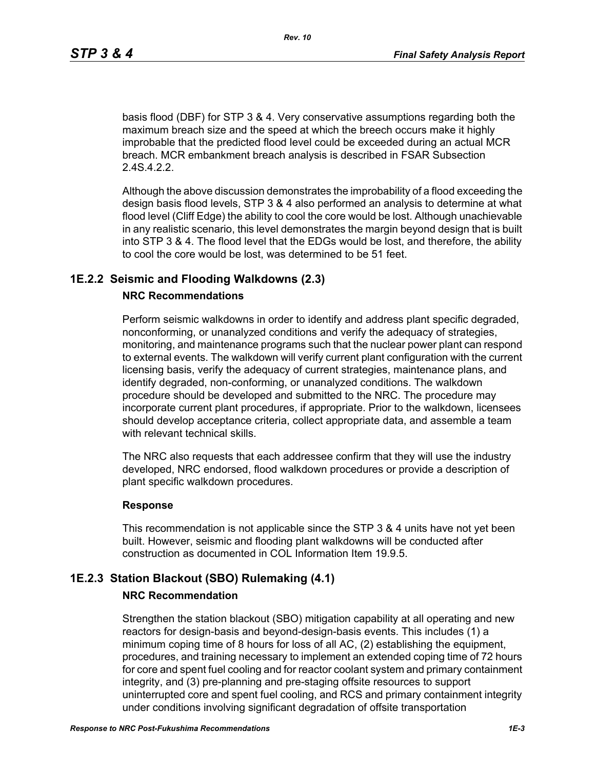basis flood (DBF) for STP 3 & 4. Very conservative assumptions regarding both the maximum breach size and the speed at which the breech occurs make it highly improbable that the predicted flood level could be exceeded during an actual MCR breach. MCR embankment breach analysis is described in FSAR Subsection 2.4S.4.2.2.

Although the above discussion demonstrates the improbability of a flood exceeding the design basis flood levels, STP 3 & 4 also performed an analysis to determine at what flood level (Cliff Edge) the ability to cool the core would be lost. Although unachievable in any realistic scenario, this level demonstrates the margin beyond design that is built into STP 3 & 4. The flood level that the EDGs would be lost, and therefore, the ability to cool the core would be lost, was determined to be 51 feet.

### **1E.2.2 Seismic and Flooding Walkdowns (2.3)**

### **NRC Recommendations**

Perform seismic walkdowns in order to identify and address plant specific degraded, nonconforming, or unanalyzed conditions and verify the adequacy of strategies, monitoring, and maintenance programs such that the nuclear power plant can respond to external events. The walkdown will verify current plant configuration with the current licensing basis, verify the adequacy of current strategies, maintenance plans, and identify degraded, non-conforming, or unanalyzed conditions. The walkdown procedure should be developed and submitted to the NRC. The procedure may incorporate current plant procedures, if appropriate. Prior to the walkdown, licensees should develop acceptance criteria, collect appropriate data, and assemble a team with relevant technical skills.

The NRC also requests that each addressee confirm that they will use the industry developed, NRC endorsed, flood walkdown procedures or provide a description of plant specific walkdown procedures.

#### **Response**

This recommendation is not applicable since the STP 3 & 4 units have not yet been built. However, seismic and flooding plant walkdowns will be conducted after construction as documented in COL Information Item 19.9.5.

### **1E.2.3 Station Blackout (SBO) Rulemaking (4.1)**

#### **NRC Recommendation**

Strengthen the station blackout (SBO) mitigation capability at all operating and new reactors for design-basis and beyond-design-basis events. This includes (1) a minimum coping time of 8 hours for loss of all AC, (2) establishing the equipment, procedures, and training necessary to implement an extended coping time of 72 hours for core and spent fuel cooling and for reactor coolant system and primary containment integrity, and (3) pre-planning and pre-staging offsite resources to support uninterrupted core and spent fuel cooling, and RCS and primary containment integrity under conditions involving significant degradation of offsite transportation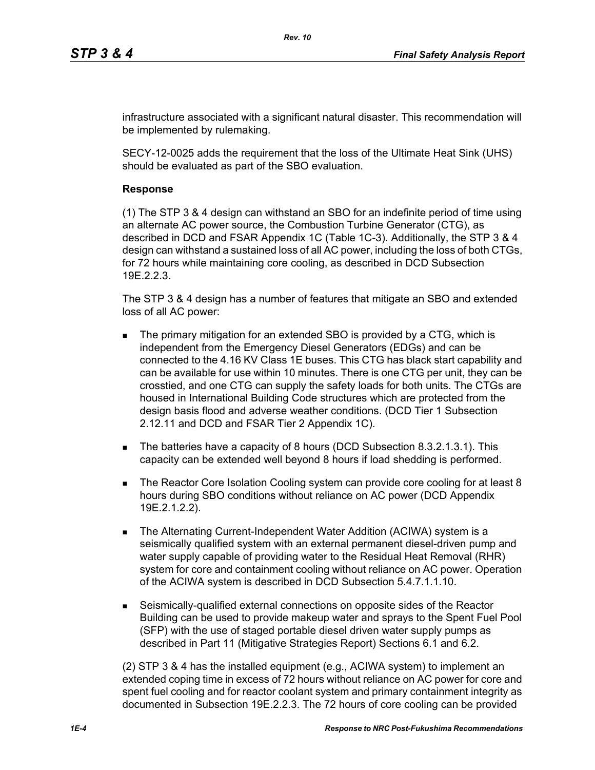infrastructure associated with a significant natural disaster. This recommendation will be implemented by rulemaking.

SECY-12-0025 adds the requirement that the loss of the Ultimate Heat Sink (UHS) should be evaluated as part of the SBO evaluation.

### **Response**

(1) The STP 3 & 4 design can withstand an SBO for an indefinite period of time using an alternate AC power source, the Combustion Turbine Generator (CTG), as described in DCD and FSAR Appendix 1C (Table 1C-3). Additionally, the STP 3 & 4 design can withstand a sustained loss of all AC power, including the loss of both CTGs, for 72 hours while maintaining core cooling, as described in DCD Subsection 19E.2.2.3.

The STP 3 & 4 design has a number of features that mitigate an SBO and extended loss of all AC power:

- The primary mitigation for an extended SBO is provided by a CTG, which is independent from the Emergency Diesel Generators (EDGs) and can be connected to the 4.16 KV Class 1E buses. This CTG has black start capability and can be available for use within 10 minutes. There is one CTG per unit, they can be crosstied, and one CTG can supply the safety loads for both units. The CTGs are housed in International Building Code structures which are protected from the design basis flood and adverse weather conditions. (DCD Tier 1 Subsection 2.12.11 and DCD and FSAR Tier 2 Appendix 1C).
- The batteries have a capacity of 8 hours (DCD Subsection 8.3.2.1.3.1). This capacity can be extended well beyond 8 hours if load shedding is performed.
- The Reactor Core Isolation Cooling system can provide core cooling for at least 8 hours during SBO conditions without reliance on AC power (DCD Appendix 19E.2.1.2.2).
- The Alternating Current-Independent Water Addition (ACIWA) system is a seismically qualified system with an external permanent diesel-driven pump and water supply capable of providing water to the Residual Heat Removal (RHR) system for core and containment cooling without reliance on AC power. Operation of the ACIWA system is described in DCD Subsection 5.4.7.1.1.10.
- Seismically-qualified external connections on opposite sides of the Reactor Building can be used to provide makeup water and sprays to the Spent Fuel Pool (SFP) with the use of staged portable diesel driven water supply pumps as described in Part 11 (Mitigative Strategies Report) Sections 6.1 and 6.2.

(2) STP 3 & 4 has the installed equipment (e.g., ACIWA system) to implement an extended coping time in excess of 72 hours without reliance on AC power for core and spent fuel cooling and for reactor coolant system and primary containment integrity as documented in Subsection 19E.2.2.3. The 72 hours of core cooling can be provided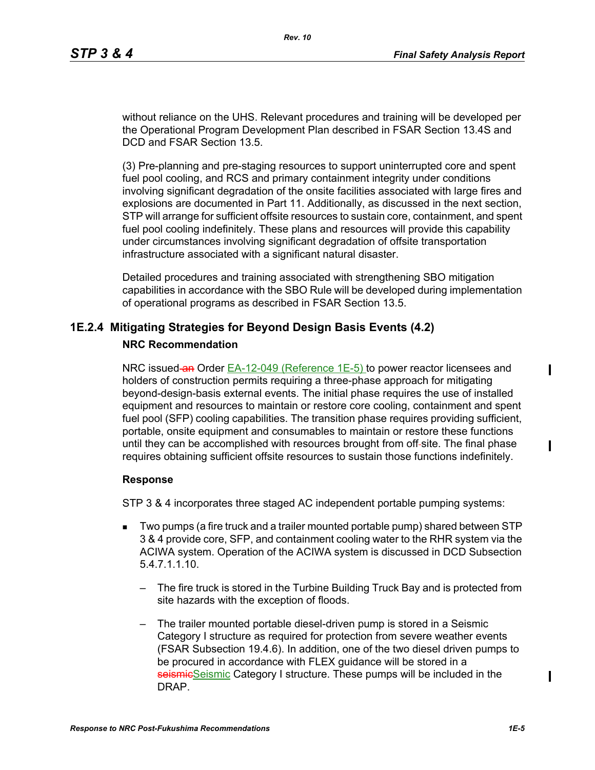without reliance on the UHS. Relevant procedures and training will be developed per the Operational Program Development Plan described in FSAR Section 13.4S and DCD and FSAR Section 13.5.

(3) Pre-planning and pre-staging resources to support uninterrupted core and spent fuel pool cooling, and RCS and primary containment integrity under conditions involving significant degradation of the onsite facilities associated with large fires and explosions are documented in Part 11. Additionally, as discussed in the next section, STP will arrange for sufficient offsite resources to sustain core, containment, and spent fuel pool cooling indefinitely. These plans and resources will provide this capability under circumstances involving significant degradation of offsite transportation infrastructure associated with a significant natural disaster.

Detailed procedures and training associated with strengthening SBO mitigation capabilities in accordance with the SBO Rule will be developed during implementation of operational programs as described in FSAR Section 13.5.

# **1E.2.4 Mitigating Strategies for Beyond Design Basis Events (4.2)**

### **NRC Recommendation**

NRC issued-an Order EA-12-049 (Reference 1E-5) to power reactor licensees and holders of construction permits requiring a three-phase approach for mitigating beyond-design-basis external events. The initial phase requires the use of installed equipment and resources to maintain or restore core cooling, containment and spent fuel pool (SFP) cooling capabilities. The transition phase requires providing sufficient, portable, onsite equipment and consumables to maintain or restore these functions until they can be accomplished with resources brought from off-site. The final phase requires obtaining sufficient offsite resources to sustain those functions indefinitely.

#### **Response**

STP 3 & 4 incorporates three staged AC independent portable pumping systems:

- Two pumps (a fire truck and a trailer mounted portable pump) shared between STP 3 & 4 provide core, SFP, and containment cooling water to the RHR system via the ACIWA system. Operation of the ACIWA system is discussed in DCD Subsection 5.4.7.1.1.10.
	- The fire truck is stored in the Turbine Building Truck Bay and is protected from site hazards with the exception of floods.
	- The trailer mounted portable diesel-driven pump is stored in a Seismic Category I structure as required for protection from severe weather events (FSAR Subsection 19.4.6). In addition, one of the two diesel driven pumps to be procured in accordance with FLEX guidance will be stored in a seismicSeismic Category I structure. These pumps will be included in the DRAP.

 $\mathbf I$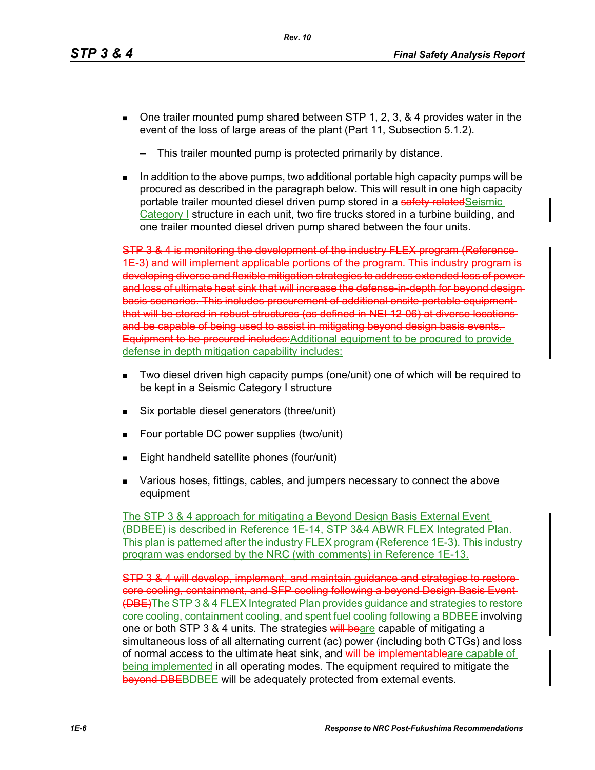- $\blacksquare$  One trailer mounted pump shared between STP 1, 2, 3, & 4 provides water in the event of the loss of large areas of the plant (Part 11, Subsection 5.1.2).
	- This trailer mounted pump is protected primarily by distance.
- In addition to the above pumps, two additional portable high capacity pumps will be procured as described in the paragraph below. This will result in one high capacity portable trailer mounted diesel driven pump stored in a safety related Seismic Category I structure in each unit, two fire trucks stored in a turbine building, and one trailer mounted diesel driven pump shared between the four units.

STP 3 & 4 is monitoring the development of the industry FLEX program (Reference 1E-3) and will implement applicable portions of the program. This industry program is developing diverse and flexible mitigation strategies to address extended loss of power and loss of ultimate heat sink that will increase the defense-in-depth for beyond designbasis scenarios. This includes procurement of additional onsite portable equipment that will be stored in robust structures (as defined in NEI 12-06) at diverse locations and be capable of being used to assist in mitigating beyond design basis events. Equipment to be procured includes: Additional equipment to be procured to provide defense in depth mitigation capability includes:

- Two diesel driven high capacity pumps (one/unit) one of which will be required to be kept in a Seismic Category I structure
- Six portable diesel generators (three/unit)
- Four portable DC power supplies (two/unit)
- Eight handheld satellite phones (four/unit)
- **Various hoses, fittings, cables, and jumpers necessary to connect the above** equipment

The STP 3 & 4 approach for mitigating a Beyond Design Basis External Event (BDBEE) is described in Reference 1E-14, STP 3&4 ABWR FLEX Integrated Plan. This plan is patterned after the industry FLEX program (Reference 1E-3). This industry program was endorsed by the NRC (with comments) in Reference 1E-13.

STP 3 & 4 will develop, implement, and maintain guidance and strategies to restore core cooling, containment, and SFP cooling following a beyond Design Basis Event (DBE)The STP 3 & 4 FLEX Integrated Plan provides guidance and strategies to restore core cooling, containment cooling, and spent fuel cooling following a BDBEE involving one or both STP 3 & 4 units. The strategies will beare capable of mitigating a simultaneous loss of all alternating current (ac) power (including both CTGs) and loss of normal access to the ultimate heat sink, and will be implementableare capable of being implemented in all operating modes. The equipment required to mitigate the **bevond DBEBDBEE will be adequately protected from external events.**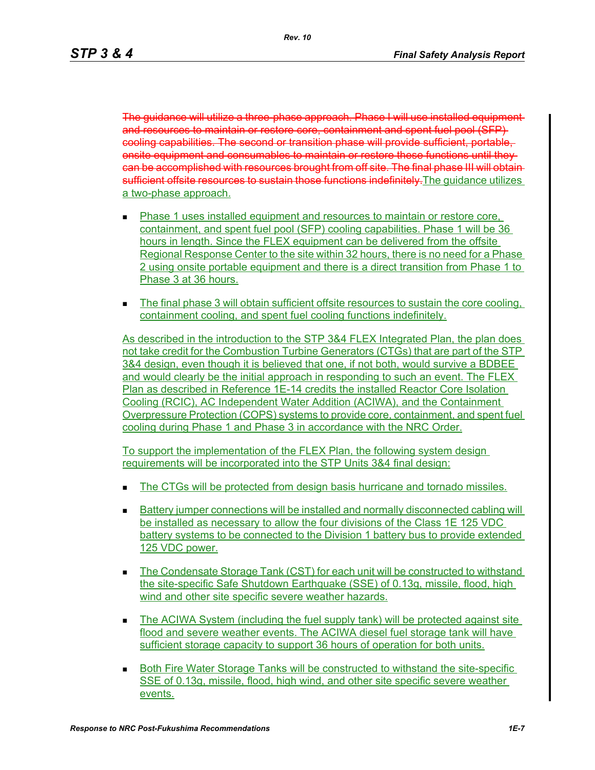The guidance will utilize a three-phase approach. Phase I will use installed equipment and resources to maintain or restore core, containment and spent fuel pool (SFP) cooling capabilities. The second or transition phase will provide sufficient, portable, onsite equipment and consumables to maintain or restore these functions until they can be accomplished with resources brought from off site. The final phase III will obtain sufficient offsite resources to sustain those functions indefinitely. The quidance utilizes a two-phase approach.

- Phase 1 uses installed equipment and resources to maintain or restore core, containment, and spent fuel pool (SFP) cooling capabilities. Phase 1 will be 36 hours in length. Since the FLEX equipment can be delivered from the offsite Regional Response Center to the site within 32 hours, there is no need for a Phase 2 using onsite portable equipment and there is a direct transition from Phase 1 to Phase 3 at 36 hours.
- The final phase 3 will obtain sufficient offsite resources to sustain the core cooling, containment cooling, and spent fuel cooling functions indefinitely.

As described in the introduction to the STP 3&4 FLEX Integrated Plan, the plan does not take credit for the Combustion Turbine Generators (CTGs) that are part of the STP 3&4 design, even though it is believed that one, if not both, would survive a BDBEE and would clearly be the initial approach in responding to such an event. The FLEX Plan as described in Reference 1E-14 credits the installed Reactor Core Isolation Cooling (RCIC), AC Independent Water Addition (ACIWA), and the Containment Overpressure Protection (COPS) systems to provide core, containment, and spent fuel cooling during Phase 1 and Phase 3 in accordance with the NRC Order.

To support the implementation of the FLEX Plan, the following system design requirements will be incorporated into the STP Units 3&4 final design:

- The CTGs will be protected from design basis hurricane and tornado missiles.
- **Battery jumper connections will be installed and normally disconnected cabling will** be installed as necessary to allow the four divisions of the Class 1E 125 VDC battery systems to be connected to the Division 1 battery bus to provide extended 125 VDC power.
- The Condensate Storage Tank (CST) for each unit will be constructed to withstand the site-specific Safe Shutdown Earthquake (SSE) of 0.13g, missile, flood, high wind and other site specific severe weather hazards.
- The ACIWA System (including the fuel supply tank) will be protected against site flood and severe weather events. The ACIWA diesel fuel storage tank will have sufficient storage capacity to support 36 hours of operation for both units.
- Both Fire Water Storage Tanks will be constructed to withstand the site-specific SSE of 0.13g, missile, flood, high wind, and other site specific severe weather events.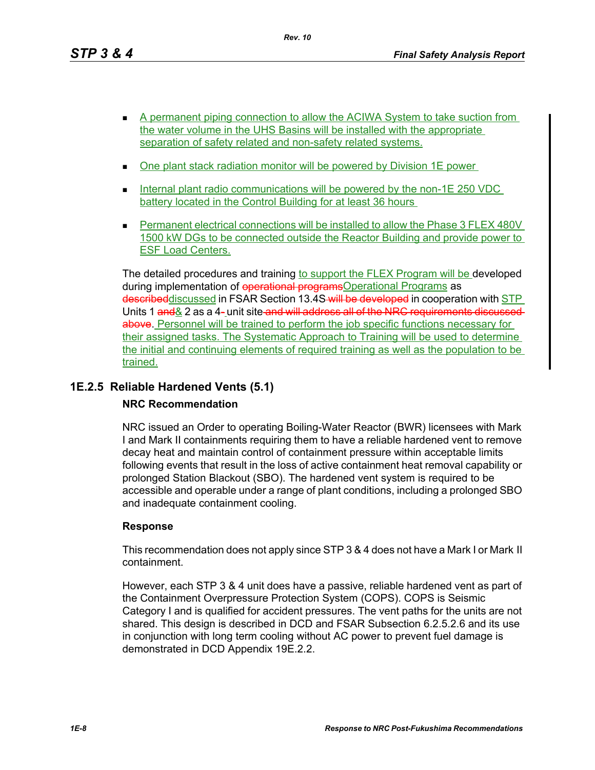*Rev. 10*

- A permanent piping connection to allow the ACIWA System to take suction from the water volume in the UHS Basins will be installed with the appropriate separation of safety related and non-safety related systems.
- One plant stack radiation monitor will be powered by Division 1E power
- Internal plant radio communications will be powered by the non-1E 250 VDC battery located in the Control Building for at least 36 hours
- **Permanent electrical connections will be installed to allow the Phase 3 FLEX 480V** 1500 kW DGs to be connected outside the Reactor Building and provide power to ESF Load Centers.

The detailed procedures and training to support the FLEX Program will be developed during implementation of operational programsOperational Programs as describeddiscussed in FSAR Section 13.4S will be developed in cooperation with STP Units 1 and & 2 as a 4- unit site-and will address all of the NRC requirements discussed above. Personnel will be trained to perform the job specific functions necessary for their assigned tasks. The Systematic Approach to Training will be used to determine the initial and continuing elements of required training as well as the population to be trained.

# **1E.2.5 Reliable Hardened Vents (5.1)**

# **NRC Recommendation**

NRC issued an Order to operating Boiling-Water Reactor (BWR) licensees with Mark I and Mark II containments requiring them to have a reliable hardened vent to remove decay heat and maintain control of containment pressure within acceptable limits following events that result in the loss of active containment heat removal capability or prolonged Station Blackout (SBO). The hardened vent system is required to be accessible and operable under a range of plant conditions, including a prolonged SBO and inadequate containment cooling.

# **Response**

This recommendation does not apply since STP 3 & 4 does not have a Mark I or Mark II containment.

However, each STP 3 & 4 unit does have a passive, reliable hardened vent as part of the Containment Overpressure Protection System (COPS). COPS is Seismic Category I and is qualified for accident pressures. The vent paths for the units are not shared. This design is described in DCD and FSAR Subsection 6.2.5.2.6 and its use in conjunction with long term cooling without AC power to prevent fuel damage is demonstrated in DCD Appendix 19E.2.2.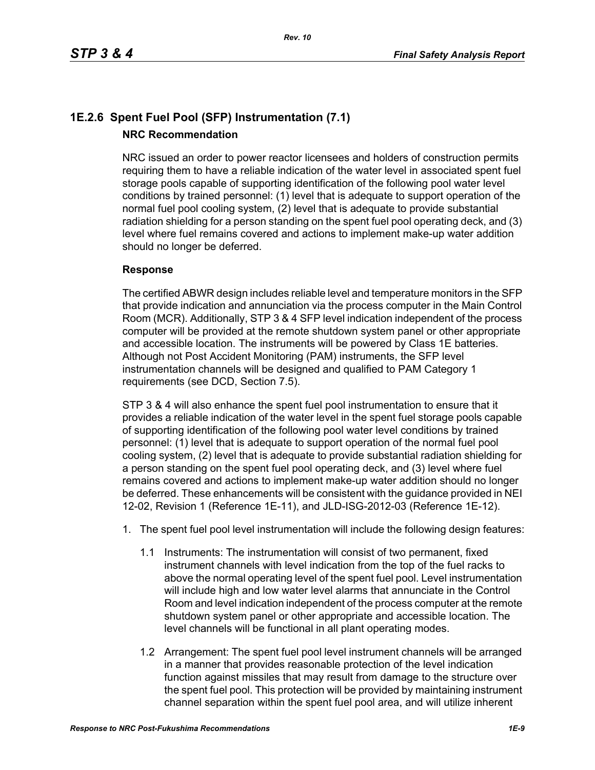# **1E.2.6 Spent Fuel Pool (SFP) Instrumentation (7.1) NRC Recommendation**

NRC issued an order to power reactor licensees and holders of construction permits requiring them to have a reliable indication of the water level in associated spent fuel storage pools capable of supporting identification of the following pool water level conditions by trained personnel: (1) level that is adequate to support operation of the normal fuel pool cooling system, (2) level that is adequate to provide substantial radiation shielding for a person standing on the spent fuel pool operating deck, and (3) level where fuel remains covered and actions to implement make-up water addition should no longer be deferred.

### **Response**

The certified ABWR design includes reliable level and temperature monitors in the SFP that provide indication and annunciation via the process computer in the Main Control Room (MCR). Additionally, STP 3 & 4 SFP level indication independent of the process computer will be provided at the remote shutdown system panel or other appropriate and accessible location. The instruments will be powered by Class 1E batteries. Although not Post Accident Monitoring (PAM) instruments, the SFP level instrumentation channels will be designed and qualified to PAM Category 1 requirements (see DCD, Section 7.5).

STP 3 & 4 will also enhance the spent fuel pool instrumentation to ensure that it provides a reliable indication of the water level in the spent fuel storage pools capable of supporting identification of the following pool water level conditions by trained personnel: (1) level that is adequate to support operation of the normal fuel pool cooling system, (2) level that is adequate to provide substantial radiation shielding for a person standing on the spent fuel pool operating deck, and (3) level where fuel remains covered and actions to implement make-up water addition should no longer be deferred. These enhancements will be consistent with the guidance provided in NEI 12-02, Revision 1 (Reference 1E-11), and JLD-ISG-2012-03 (Reference 1E-12).

- 1. The spent fuel pool level instrumentation will include the following design features:
	- 1.1 Instruments: The instrumentation will consist of two permanent, fixed instrument channels with level indication from the top of the fuel racks to above the normal operating level of the spent fuel pool. Level instrumentation will include high and low water level alarms that annunciate in the Control Room and level indication independent of the process computer at the remote shutdown system panel or other appropriate and accessible location. The level channels will be functional in all plant operating modes.
	- 1.2 Arrangement: The spent fuel pool level instrument channels will be arranged in a manner that provides reasonable protection of the level indication function against missiles that may result from damage to the structure over the spent fuel pool. This protection will be provided by maintaining instrument channel separation within the spent fuel pool area, and will utilize inherent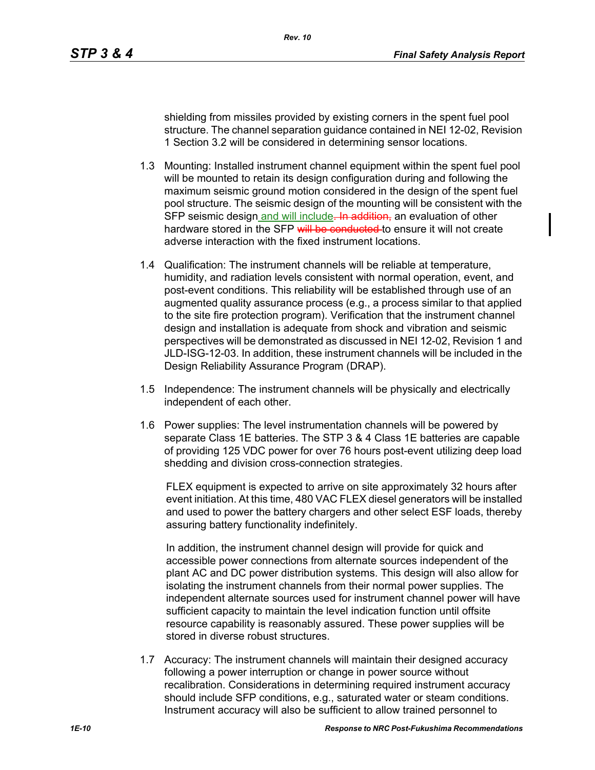shielding from missiles provided by existing corners in the spent fuel pool structure. The channel separation guidance contained in NEI 12-02, Revision 1 Section 3.2 will be considered in determining sensor locations.

- 1.3 Mounting: Installed instrument channel equipment within the spent fuel pool will be mounted to retain its design configuration during and following the maximum seismic ground motion considered in the design of the spent fuel pool structure. The seismic design of the mounting will be consistent with the SFP seismic design and will include. In addition, an evaluation of other hardware stored in the SFP will be conducted to ensure it will not create adverse interaction with the fixed instrument locations.
- 1.4 Qualification: The instrument channels will be reliable at temperature, humidity, and radiation levels consistent with normal operation, event, and post-event conditions. This reliability will be established through use of an augmented quality assurance process (e.g., a process similar to that applied to the site fire protection program). Verification that the instrument channel design and installation is adequate from shock and vibration and seismic perspectives will be demonstrated as discussed in NEI 12-02, Revision 1 and JLD-ISG-12-03. In addition, these instrument channels will be included in the Design Reliability Assurance Program (DRAP).
- 1.5 Independence: The instrument channels will be physically and electrically independent of each other.
- 1.6 Power supplies: The level instrumentation channels will be powered by separate Class 1E batteries. The STP 3 & 4 Class 1E batteries are capable of providing 125 VDC power for over 76 hours post-event utilizing deep load shedding and division cross-connection strategies.

FLEX equipment is expected to arrive on site approximately 32 hours after event initiation. At this time, 480 VAC FLEX diesel generators will be installed and used to power the battery chargers and other select ESF loads, thereby assuring battery functionality indefinitely.

In addition, the instrument channel design will provide for quick and accessible power connections from alternate sources independent of the plant AC and DC power distribution systems. This design will also allow for isolating the instrument channels from their normal power supplies. The independent alternate sources used for instrument channel power will have sufficient capacity to maintain the level indication function until offsite resource capability is reasonably assured. These power supplies will be stored in diverse robust structures.

1.7 Accuracy: The instrument channels will maintain their designed accuracy following a power interruption or change in power source without recalibration. Considerations in determining required instrument accuracy should include SFP conditions, e.g., saturated water or steam conditions. Instrument accuracy will also be sufficient to allow trained personnel to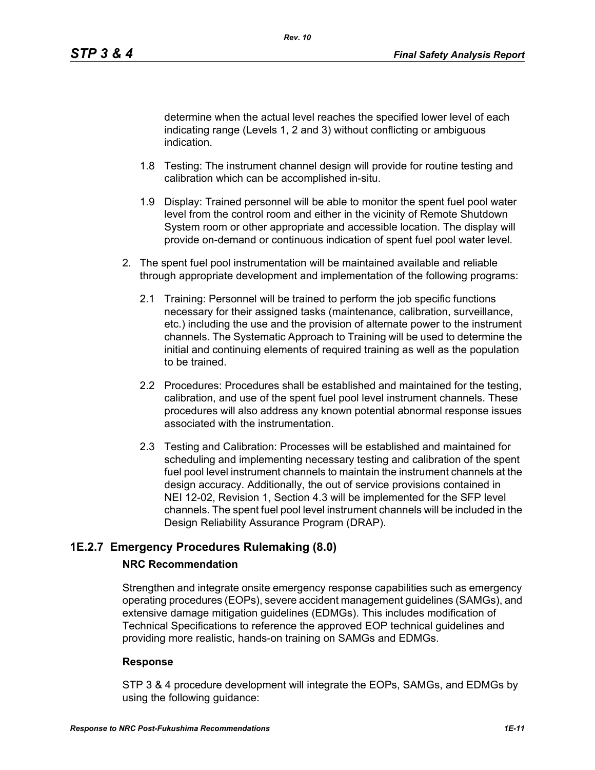determine when the actual level reaches the specified lower level of each indicating range (Levels 1, 2 and 3) without conflicting or ambiguous indication.

- 1.8 Testing: The instrument channel design will provide for routine testing and calibration which can be accomplished in-situ.
- 1.9 Display: Trained personnel will be able to monitor the spent fuel pool water level from the control room and either in the vicinity of Remote Shutdown System room or other appropriate and accessible location. The display will provide on-demand or continuous indication of spent fuel pool water level.
- 2. The spent fuel pool instrumentation will be maintained available and reliable through appropriate development and implementation of the following programs:
	- 2.1 Training: Personnel will be trained to perform the job specific functions necessary for their assigned tasks (maintenance, calibration, surveillance, etc.) including the use and the provision of alternate power to the instrument channels. The Systematic Approach to Training will be used to determine the initial and continuing elements of required training as well as the population to be trained.
	- 2.2 Procedures: Procedures shall be established and maintained for the testing, calibration, and use of the spent fuel pool level instrument channels. These procedures will also address any known potential abnormal response issues associated with the instrumentation.
	- 2.3 Testing and Calibration: Processes will be established and maintained for scheduling and implementing necessary testing and calibration of the spent fuel pool level instrument channels to maintain the instrument channels at the design accuracy. Additionally, the out of service provisions contained in NEI 12-02, Revision 1, Section 4.3 will be implemented for the SFP level channels. The spent fuel pool level instrument channels will be included in the Design Reliability Assurance Program (DRAP).

# **1E.2.7 Emergency Procedures Rulemaking (8.0)**

# **NRC Recommendation**

Strengthen and integrate onsite emergency response capabilities such as emergency operating procedures (EOPs), severe accident management guidelines (SAMGs), and extensive damage mitigation guidelines (EDMGs). This includes modification of Technical Specifications to reference the approved EOP technical guidelines and providing more realistic, hands-on training on SAMGs and EDMGs.

### **Response**

STP 3 & 4 procedure development will integrate the EOPs, SAMGs, and EDMGs by using the following guidance: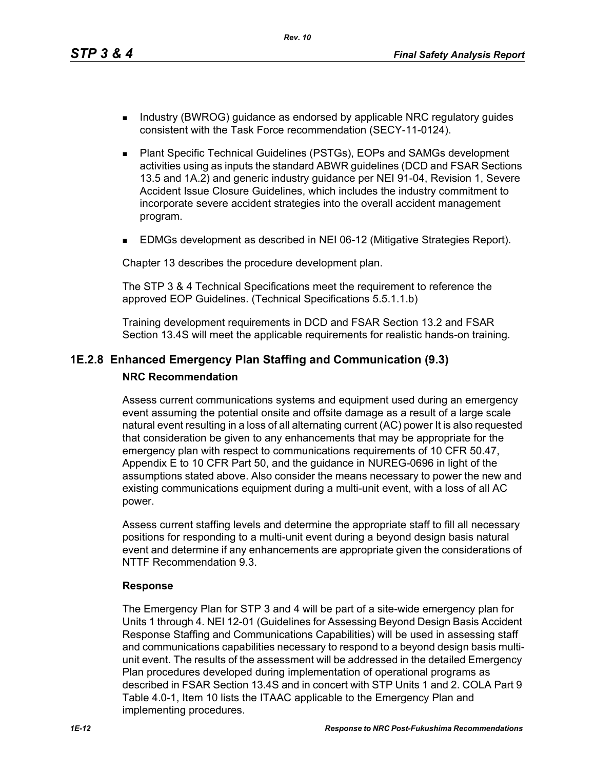*Rev. 10*

- Industry (BWROG) guidance as endorsed by applicable NRC regulatory guides consistent with the Task Force recommendation (SECY-11-0124).
- Plant Specific Technical Guidelines (PSTGs), EOPs and SAMGs development activities using as inputs the standard ABWR guidelines (DCD and FSAR Sections 13.5 and 1A.2) and generic industry guidance per NEI 91-04, Revision 1, Severe Accident Issue Closure Guidelines, which includes the industry commitment to incorporate severe accident strategies into the overall accident management program.
- **EDMGs development as described in NEI 06-12 (Mitigative Strategies Report).**

Chapter 13 describes the procedure development plan.

The STP 3 & 4 Technical Specifications meet the requirement to reference the approved EOP Guidelines. (Technical Specifications 5.5.1.1.b)

Training development requirements in DCD and FSAR Section 13.2 and FSAR Section 13.4S will meet the applicable requirements for realistic hands-on training.

# **1E.2.8 Enhanced Emergency Plan Staffing and Communication (9.3) NRC Recommendation**

Assess current communications systems and equipment used during an emergency event assuming the potential onsite and offsite damage as a result of a large scale natural event resulting in a loss of all alternating current (AC) power It is also requested that consideration be given to any enhancements that may be appropriate for the emergency plan with respect to communications requirements of 10 CFR 50.47, Appendix E to 10 CFR Part 50, and the guidance in NUREG-0696 in light of the assumptions stated above. Also consider the means necessary to power the new and existing communications equipment during a multi-unit event, with a loss of all AC power.

Assess current staffing levels and determine the appropriate staff to fill all necessary positions for responding to a multi-unit event during a beyond design basis natural event and determine if any enhancements are appropriate given the considerations of NTTF Recommendation 9.3.

### **Response**

The Emergency Plan for STP 3 and 4 will be part of a site-wide emergency plan for Units 1 through 4. NEI 12-01 (Guidelines for Assessing Beyond Design Basis Accident Response Staffing and Communications Capabilities) will be used in assessing staff and communications capabilities necessary to respond to a beyond design basis multiunit event. The results of the assessment will be addressed in the detailed Emergency Plan procedures developed during implementation of operational programs as described in FSAR Section 13.4S and in concert with STP Units 1 and 2. COLA Part 9 Table 4.0-1, Item 10 lists the ITAAC applicable to the Emergency Plan and implementing procedures.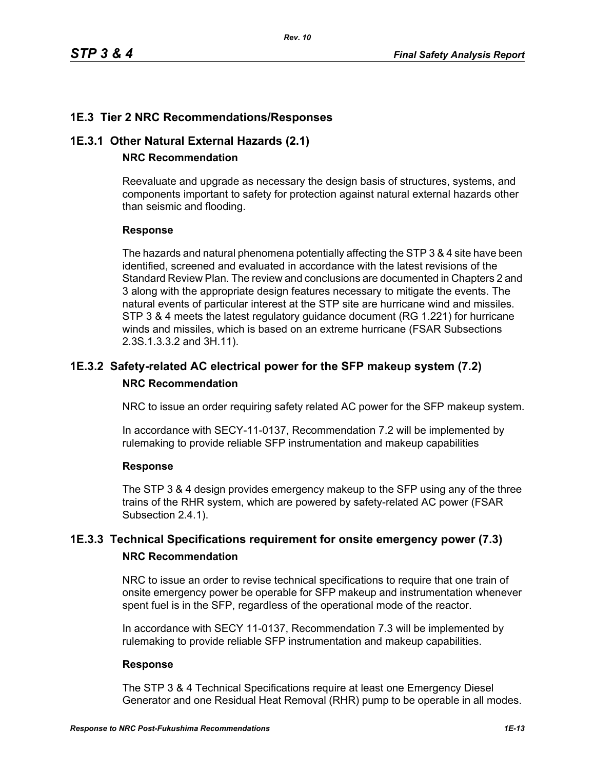# **1E.3 Tier 2 NRC Recommendations/Responses**

### **1E.3.1 Other Natural External Hazards (2.1)**

### **NRC Recommendation**

Reevaluate and upgrade as necessary the design basis of structures, systems, and components important to safety for protection against natural external hazards other than seismic and flooding.

### **Response**

The hazards and natural phenomena potentially affecting the STP 3 & 4 site have been identified, screened and evaluated in accordance with the latest revisions of the Standard Review Plan. The review and conclusions are documented in Chapters 2 and 3 along with the appropriate design features necessary to mitigate the events. The natural events of particular interest at the STP site are hurricane wind and missiles. STP 3 & 4 meets the latest regulatory guidance document (RG 1.221) for hurricane winds and missiles, which is based on an extreme hurricane (FSAR Subsections 2.3S.1.3.3.2 and 3H.11).

# **1E.3.2 Safety-related AC electrical power for the SFP makeup system (7.2) NRC Recommendation**

NRC to issue an order requiring safety related AC power for the SFP makeup system.

In accordance with SECY-11-0137, Recommendation 7.2 will be implemented by rulemaking to provide reliable SFP instrumentation and makeup capabilities

### **Response**

The STP 3 & 4 design provides emergency makeup to the SFP using any of the three trains of the RHR system, which are powered by safety-related AC power (FSAR Subsection 2.4.1).

# **1E.3.3 Technical Specifications requirement for onsite emergency power (7.3) NRC Recommendation**

NRC to issue an order to revise technical specifications to require that one train of onsite emergency power be operable for SFP makeup and instrumentation whenever spent fuel is in the SFP, regardless of the operational mode of the reactor.

In accordance with SECY 11-0137, Recommendation 7.3 will be implemented by rulemaking to provide reliable SFP instrumentation and makeup capabilities.

#### **Response**

The STP 3 & 4 Technical Specifications require at least one Emergency Diesel Generator and one Residual Heat Removal (RHR) pump to be operable in all modes.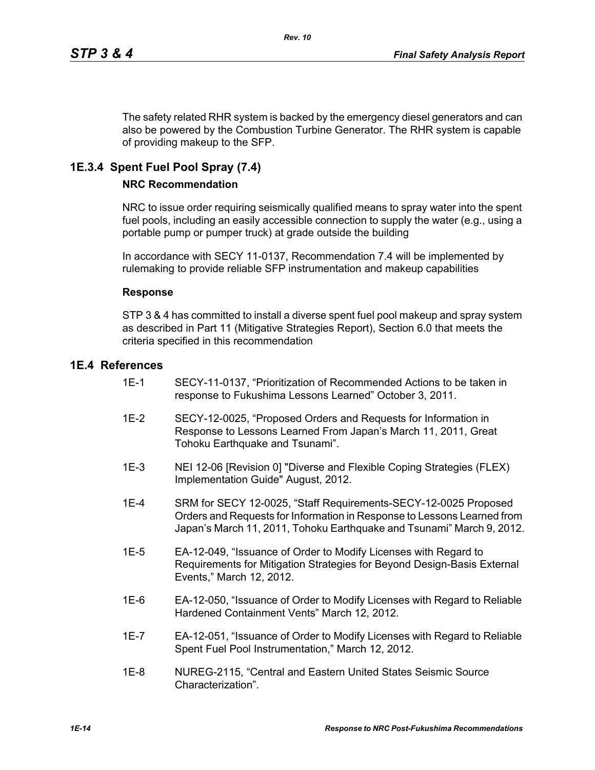The safety related RHR system is backed by the emergency diesel generators and can also be powered by the Combustion Turbine Generator. The RHR system is capable of providing makeup to the SFP.

# **1E.3.4 Spent Fuel Pool Spray (7.4)**

### **NRC Recommendation**

NRC to issue order requiring seismically qualified means to spray water into the spent fuel pools, including an easily accessible connection to supply the water (e.g., using a portable pump or pumper truck) at grade outside the building

In accordance with SECY 11-0137, Recommendation 7.4 will be implemented by rulemaking to provide reliable SFP instrumentation and makeup capabilities

#### **Response**

STP 3 & 4 has committed to install a diverse spent fuel pool makeup and spray system as described in Part 11 (Mitigative Strategies Report), Section 6.0 that meets the criteria specified in this recommendation

### **1E.4 References**

- 1E-1 SECY-11-0137, "Prioritization of Recommended Actions to be taken in response to Fukushima Lessons Learned" October 3, 2011.
- 1E-2 SECY-12-0025, "Proposed Orders and Requests for Information in Response to Lessons Learned From Japan's March 11, 2011, Great Tohoku Earthquake and Tsunami".
- 1E-3 NEI 12-06 [Revision 0] "Diverse and Flexible Coping Strategies (FLEX) Implementation Guide" August, 2012.
- 1E-4 SRM for SECY 12-0025, "Staff Requirements-SECY-12-0025 Proposed Orders and Requests for Information in Response to Lessons Learned from Japan's March 11, 2011, Tohoku Earthquake and Tsunami" March 9, 2012.
- 1E-5 EA-12-049, "Issuance of Order to Modify Licenses with Regard to Requirements for Mitigation Strategies for Beyond Design-Basis External Events," March 12, 2012.
- 1E-6 EA-12-050, "Issuance of Order to Modify Licenses with Regard to Reliable Hardened Containment Vents" March 12, 2012.
- 1E-7 EA-12-051, "Issuance of Order to Modify Licenses with Regard to Reliable Spent Fuel Pool Instrumentation," March 12, 2012.
- 1E-8 NUREG-2115, "Central and Eastern United States Seismic Source Characterization".